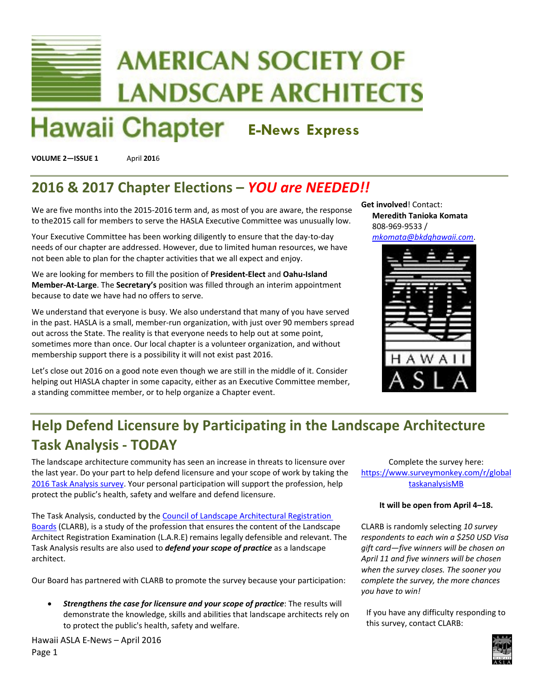# **AMERICAN SOCIETY OF LANDSCAPE ARCHITECTS**

## **Hawaii Chapter E-News Express**

**VOLUME 2—ISSUE 1** April **201**6

## **2016 & 2017 Chapter Elections –** *YOU are NEEDED!!*

We are five months into the 2015-2016 term and, as most of you are aware, the response to the2015 call for members to serve the HASLA Executive Committee was unusually low.

Your Executive Committee has been working diligently to ensure that the day‐to‐day needs of our chapter are addressed. However, due to limited human resources, we have not been able to plan for the chapter activities that we all expect and enjoy.

We are looking for members to fill the position of **President‐Elect** and **Oahu‐Island Member‐At‐Large**. The **Secretary's** position was filled through an interim appointment because to date we have had no offers to serve.

We understand that everyone is busy. We also understand that many of you have served in the past. HASLA is a small, member-run organization, with just over 90 members spread out across the State. The reality is that everyone needs to help out at some point, sometimes more than once. Our local chapter is a volunteer organization, and without membership support there is a possibility it will not exist past 2016.

Let's close out 2016 on a good note even though we are still in the middle of it. Consider helping out HIASLA chapter in some capacity, either as an Executive Committee member, a standing committee member, or to help organize a Chapter event.

**Get involved**! Contact: **Meredith Tanioka Komata** 808‐969‐9533 /

*mkomata@bkdghawaii.com*.



### **Help Defend Licensure by Participating in the Landscape Architecture Task Analysis ‐ TODAY**

The landscape architecture community has seen an increase in threats to licensure over the last year. Do your part to help defend licensure and your scope of work by taking the 2016 Task Analysis survey. Your personal participation will support the profession, help protect the public's health, safety and welfare and defend licensure.

The Task Analysis, conducted by the Council of Landscape Architectural Registration Boards (CLARB), is a study of the profession that ensures the content of the Landscape Architect Registration Examination (L.A.R.E) remains legally defensible and relevant. The Task Analysis results are also used to *defend your scope of practice* as a landscape architect.

Our Board has partnered with CLARB to promote the survey because your participation:

 *Strengthens the case for licensure and your scope of practice*: The results will demonstrate the knowledge, skills and abilities that landscape architects rely on to protect the public's health, safety and welfare.

Hawaii ASLA E‐News – April 2016 Page 1

Complete the survey here: https://www.surveymonkey.com/r/global taskanalysisMB

#### **It will be open from April 4–18.**

CLARB is randomly selecting *10 survey respondents to each win a \$250 USD Visa gift card—five winners will be chosen on April 11 and five winners will be chosen when the survey closes. The sooner you complete the survey, the more chances you have to win!*

If you have any difficulty responding to this survey, contact CLARB:

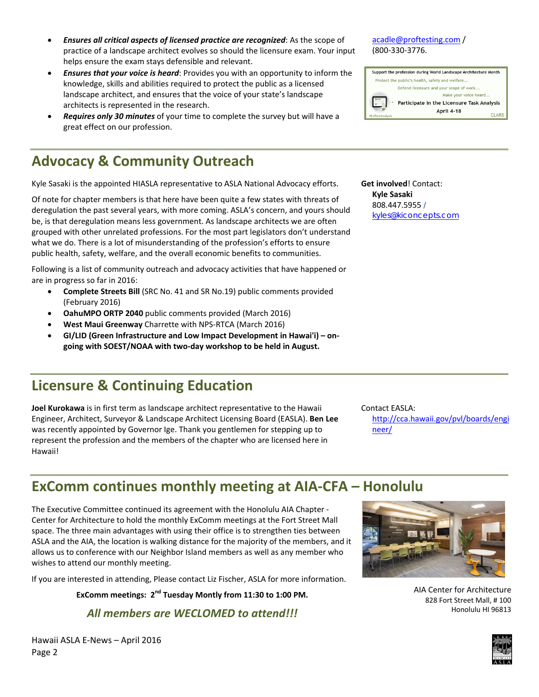- *Ensures all critical aspects of licensed practice are recognized*: As the scope of practice of a landscape architect evolves so should the licensure exam. Your input helps ensure the exam stays defensible and relevant.
- *Ensures that your voice is heard*: Provides you with an opportunity to inform the knowledge, skills and abilities required to protect the public as a licensed landscape architect, and ensures that the voice of your state's landscape architects is represented in the research.
- *Requires only 30 minutes* of your time to complete the survey but will have a great effect on our profession.

### **Advocacy & Community Outreach**

Kyle Sasaki is the appointed HIASLA representative to ASLA National Advocacy efforts.

Of note for chapter members is that here have been quite a few states with threats of deregulation the past several years, with more coming. ASLA's concern, and yours should be, is that deregulation means less government. As landscape architects we are often grouped with other unrelated professions. For the most part legislators don't understand what we do. There is a lot of misunderstanding of the profession's efforts to ensure public health, safety, welfare, and the overall economic benefits to communities.

Following is a list of community outreach and advocacy activities that have happened or are in progress so far in 2016:

- **Complete Streets Bill** (SRC No. 41 and SR No.19) public comments provided (February 2016)
- **OahuMPO ORTP 2040** public comments provided (March 2016)
- **West Maui Greenway** Charrette with NPS‐RTCA (March 2016)
- **GI/LID (Green Infrastructure and Low Impact Development in Hawai'i) – on‐ going with SOEST/NOAA with two‐day workshop to be held in August.**

#### **Licensure & Continuing Education**

**Joel Kurokawa** is in first term as landscape architect representative to the Hawaii Engineer, Architect, Surveyor & Landscape Architect Licensing Board (EASLA). **Ben Lee** was recently appointed by Governor Ige. Thank you gentlemen for stepping up to represent the profession and the members of the chapter who are licensed here in Hawaii!

Contact EASLA: http://cca.hawaii.gov/pvl/boards/engi neer/

#### **ExComm continues monthly meeting at AIA‐CFA – Honolulu**

The Executive Committee continued its agreement with the Honolulu AIA Chapter ‐ Center for Architecture to hold the monthly ExComm meetings at the Fort Street Mall space. The three main advantages with using their office is to strengthen ties between ASLA and the AIA, the location is walking distance for the majority of the members, and it allows us to conference with our Neighbor Island members as well as any member who wishes to attend our monthly meeting.

If you are interested in attending, Please contact Liz Fischer, ASLA for more information.

**ExComm meetings: 2nd Tuesday Montly from 11:30 to 1:00 PM.**

*All members are WECLOMED to attend!!!*



AIA Center for Architecture 828 Fort Street Mall, # 100 Honolulu HI 96813



#### acadle@proftesting.com /

(800‐330‐3776.

**Get involved**! Contact: **Kyle Sasaki** 808.447.5955 /

kyles@kiconcepts.com

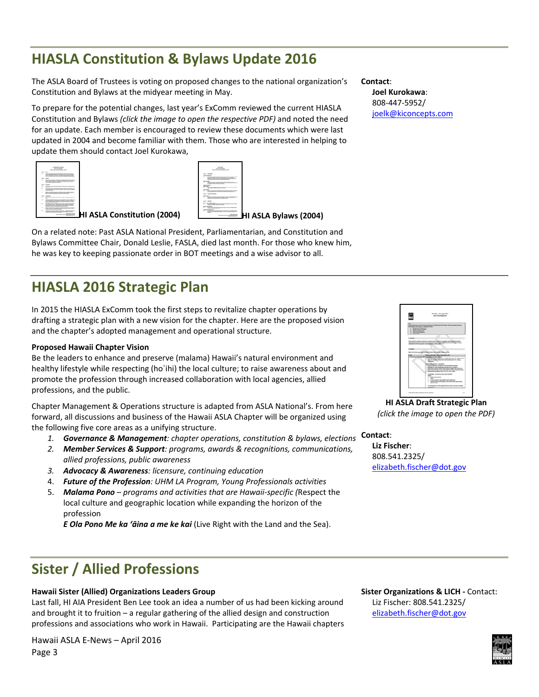### **HIASLA Constitution & Bylaws Update 2016**

The ASLA Board of Trustees is voting on proposed changes to the national organization's Constitution and Bylaws at the midyear meeting in May.

To prepare for the potential changes, last year's ExComm reviewed the current HIASLA Constitution and Bylaws *(click the image to open the respective PDF)* and noted the need for an update. Each member is encouraged to review these documents which were last updated in 2004 and become familiar with them. Those who are interested in helping to update them should contact Joel Kurokawa,

| <b>Constant length professor management</b><br>patients of the country of the country of<br><b>MARINEZ ARE A TAX FROM A LICE ARE</b><br>COLORED AND COMPANY CONTROL<br>$\sim$<br><b>STATE</b><br>a transfer dealer and the second<br><b>Michael Architecture</b><br><b>BUSINESS AND A REPORT OF A REPORT OF A STATE OF A REAL PROPERTY.</b><br>The first product state and the product of the product of the second<br>on the same at a control of the same<br>the course the property state of the bank<br><b>INTO A REPORT OF STATISTICS</b><br>____<br>the district in course to be less one does not to the course of the course<br>the first of the court of the column result in the column result of<br><b><i>CARD CARD IN THE</i></b><br>LAW LIGHT THE STATE CAPTURE SHAPE CRIMINAL<br>Constitution of the Constitution of the Constitution Constitution of<br><b>CONTRACTOR</b><br><b>NOW IN THE REPORT OF A REPORT FOR THE REPORT OF A REPORT OF A REPORT OF A REPORT OF A REPORT OF A REPORT OF A REPORT OF A REPORT OF A REPORT OF A REPORT OF A REPORT OF A REPORT OF A REPORT OF A REPORT OF A REPORT OF A REP</b><br><b>EX-RECREATED FOR PERSONAL PROPERTY</b><br>and a fact that the part will a fact that<br>A first charter better some the first that the price about 10<br>parents of a structure to the fact<br><b>HI ASLA Constitution (2004)</b><br>Arrested Marketing<br>HI ASLA Bylaws (2004)<br><b>Dealer State</b><br>payment in one applicable to |
|-------------------------------------------------------------------------------------------------------------------------------------------------------------------------------------------------------------------------------------------------------------------------------------------------------------------------------------------------------------------------------------------------------------------------------------------------------------------------------------------------------------------------------------------------------------------------------------------------------------------------------------------------------------------------------------------------------------------------------------------------------------------------------------------------------------------------------------------------------------------------------------------------------------------------------------------------------------------------------------------------------------------------------------------------------------------------------------------------------------------------------------------------------------------------------------------------------------------------------------------------------------------------------------------------------------------------------------------------------------------------------------------------------------------------------------------------------------------------------|
|                                                                                                                                                                                                                                                                                                                                                                                                                                                                                                                                                                                                                                                                                                                                                                                                                                                                                                                                                                                                                                                                                                                                                                                                                                                                                                                                                                                                                                                                               |

On a related note: Past ASLA National President, Parliamentarian, and Constitution and Bylaws Committee Chair, Donald Leslie, FASLA, died last month. For those who knew him, he was key to keeping passionate order in BOT meetings and a wise advisor to all.

### **HIASLA 2016 Strategic Plan**

In 2015 the HIASLA ExComm took the first steps to revitalize chapter operations by drafting a strategic plan with a new vision for the chapter. Here are the proposed vision and the chapter's adopted management and operational structure.

#### **Proposed Hawaii Chapter Vision**

Be the leaders to enhance and preserve (malama) Hawaii's natural environment and healthy lifestyle while respecting (ho`ihi) the local culture; to raise awareness about and promote the profession through increased collaboration with local agencies, allied professions, and the public.

Chapter Management & Operations structure is adapted from ASLA National's. From here forward, all discussions and business of the Hawaii ASLA Chapter will be organized using the following five core areas as a unifying structure.

- *1. Governance & Management: chapter operations, constitution & bylaws, elections* **Contact**:
- *2. Member Services & Support: programs, awards & recognitions, communications, allied professions, public awareness*
- *3. Advocacy & Awareness: licensure, continuing education*
- 4. *Future of the Profession: UHM LA Program, Young Professionals activities*
- 5. *Malama Pono – programs and activities that are Hawaii‐specific (*Respect the local culture and geographic location while expanding the horizon of the profession

*E Ola Pono Me ka 'āina a me ke kai* (Live Right with the Land and the Sea).

### **Sister / Allied Professions**

#### **Hawaii Sister (Allied) Organizations Leaders Group**

Last fall, HI AIA President Ben Lee took an idea a number of us had been kicking around and brought it to fruition – a regular gathering of the allied design and construction professions and associations who work in Hawaii. Participating are the Hawaii chapters

Hawaii ASLA E‐News – April 2016 Page 3

#### **Contact**:

**Joel Kurokawa**: 808‐447‐5952/ joelk@kiconcepts.com



**HI ASLA Draft Strategic Plan** *(click the image to open the PDF)*

**Liz Fischer**: 808.541.2325/ elizabeth.fischer@dot.gov

**Sister Organizations & LICH ‐** Contact: Liz Fischer: 808.541.2325/ elizabeth.fischer@dot.gov

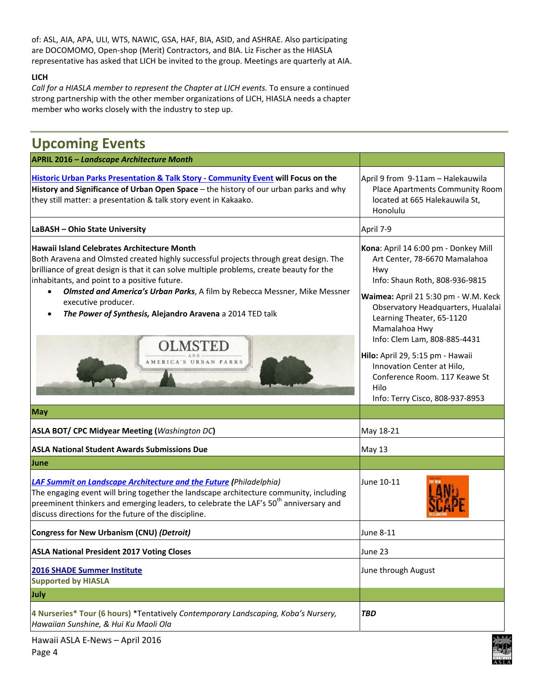of: ASL, AIA, APA, ULI, WTS, NAWIC, GSA, HAF, BIA, ASID, and ASHRAE. Also participating are DOCOMOMO, Open‐shop (Merit) Contractors, and BIA. Liz Fischer as the HIASLA representative has asked that LICH be invited to the group. Meetings are quarterly at AIA.

#### **LICH**

*Call for a HIASLA member to represent the Chapter at LICH events.* To ensure a continued strong partnership with the other member organizations of LICH, HIASLA needs a chapter member who works closely with the industry to step up.

| <b>Upcoming Events</b>                                                                                                                                                                                                                                                                                                                                                                                                                                                                                            |                                                                                                                                                                                                                                                                                                                                                                                                                          |
|-------------------------------------------------------------------------------------------------------------------------------------------------------------------------------------------------------------------------------------------------------------------------------------------------------------------------------------------------------------------------------------------------------------------------------------------------------------------------------------------------------------------|--------------------------------------------------------------------------------------------------------------------------------------------------------------------------------------------------------------------------------------------------------------------------------------------------------------------------------------------------------------------------------------------------------------------------|
| <b>APRIL 2016 - Landscape Architecture Month</b>                                                                                                                                                                                                                                                                                                                                                                                                                                                                  |                                                                                                                                                                                                                                                                                                                                                                                                                          |
| <b>Historic Urban Parks Presentation &amp; Talk Story - Community Event will Focus on the</b><br>History and Significance of Urban Open Space - the history of our urban parks and why<br>they still matter: a presentation & talk story event in Kakaako.                                                                                                                                                                                                                                                        | April 9 from 9-11am - Halekauwila<br>Place Apartments Community Room<br>located at 665 Halekauwila St,<br>Honolulu                                                                                                                                                                                                                                                                                                       |
| LaBASH - Ohio State University                                                                                                                                                                                                                                                                                                                                                                                                                                                                                    | April 7-9                                                                                                                                                                                                                                                                                                                                                                                                                |
| <b>Hawaii Island Celebrates Architecture Month</b><br>Both Aravena and Olmsted created highly successful projects through great design. The<br>brilliance of great design is that it can solve multiple problems, create beauty for the<br>inhabitants, and point to a positive future.<br>Olmsted and America's Urban Parks, A film by Rebecca Messner, Mike Messner<br>$\bullet$<br>executive producer.<br>The Power of Synthesis, Alejandro Aravena a 2014 TED talk<br><b>OLMSTED</b><br>AMERICA'S URBAN PARKS | Kona: April 14 6:00 pm - Donkey Mill<br>Art Center, 78-6670 Mamalahoa<br>Hwy<br>Info: Shaun Roth, 808-936-9815<br>Waimea: April 21 5:30 pm - W.M. Keck<br>Observatory Headquarters, Hualalai<br>Learning Theater, 65-1120<br>Mamalahoa Hwy<br>Info: Clem Lam, 808-885-4431<br>Hilo: April 29, 5:15 pm - Hawaii<br>Innovation Center at Hilo,<br>Conference Room, 117 Keawe St<br>Hilo<br>Info: Terry Cisco, 808-937-8953 |
| <b>May</b>                                                                                                                                                                                                                                                                                                                                                                                                                                                                                                        |                                                                                                                                                                                                                                                                                                                                                                                                                          |
| <b>ASLA BOT/ CPC Midyear Meeting (Washington DC)</b>                                                                                                                                                                                                                                                                                                                                                                                                                                                              | May 18-21                                                                                                                                                                                                                                                                                                                                                                                                                |
| <b>ASLA National Student Awards Submissions Due</b>                                                                                                                                                                                                                                                                                                                                                                                                                                                               | May 13                                                                                                                                                                                                                                                                                                                                                                                                                   |
| <b>June</b>                                                                                                                                                                                                                                                                                                                                                                                                                                                                                                       |                                                                                                                                                                                                                                                                                                                                                                                                                          |
| <b>LAF Summit on Landscape Architecture and the Future (Philadelphia)</b><br>The engaging event will bring together the landscape architecture community, including<br>preeminent thinkers and emerging leaders, to celebrate the LAF's $50th$ anniversary and<br>discuss directions for the future of the discipline.                                                                                                                                                                                            | June 10-11                                                                                                                                                                                                                                                                                                                                                                                                               |
| Congress for New Urbanism (CNU) (Detroit)                                                                                                                                                                                                                                                                                                                                                                                                                                                                         | June 8-11                                                                                                                                                                                                                                                                                                                                                                                                                |
| <b>ASLA National President 2017 Voting Closes</b>                                                                                                                                                                                                                                                                                                                                                                                                                                                                 | June 23                                                                                                                                                                                                                                                                                                                                                                                                                  |
| <b>2016 SHADE Summer Institute</b><br><b>Supported by HIASLA</b>                                                                                                                                                                                                                                                                                                                                                                                                                                                  | June through August                                                                                                                                                                                                                                                                                                                                                                                                      |
| July                                                                                                                                                                                                                                                                                                                                                                                                                                                                                                              |                                                                                                                                                                                                                                                                                                                                                                                                                          |
| 4 Nurseries* Tour (6 hours) *Tentatively Contemporary Landscaping, Koba's Nursery,<br>Hawaiian Sunshine, & Hui Ku Maoli Ola                                                                                                                                                                                                                                                                                                                                                                                       | <b>TBD</b>                                                                                                                                                                                                                                                                                                                                                                                                               |

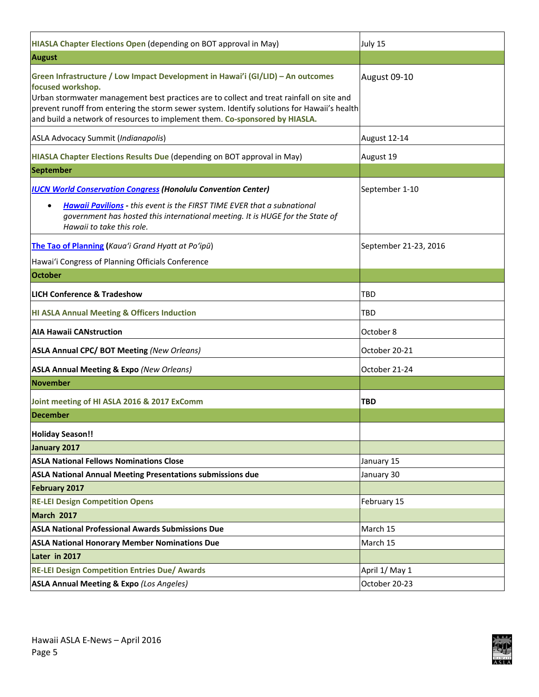| HIASLA Chapter Elections Open (depending on BOT approval in May)                                                                                                                                                                                                                                                                                                               | July 15               |
|--------------------------------------------------------------------------------------------------------------------------------------------------------------------------------------------------------------------------------------------------------------------------------------------------------------------------------------------------------------------------------|-----------------------|
| <b>August</b>                                                                                                                                                                                                                                                                                                                                                                  |                       |
| Green Infrastructure / Low Impact Development in Hawai'i (GI/LID) - An outcomes<br>focused workshop.<br>Urban stormwater management best practices are to collect and treat rainfall on site and<br>prevent runoff from entering the storm sewer system. Identify solutions for Hawaii's health<br>and build a network of resources to implement them. Co-sponsored by HIASLA. | August 09-10          |
| <b>ASLA Advocacy Summit (Indianapolis)</b>                                                                                                                                                                                                                                                                                                                                     | August 12-14          |
| HIASLA Chapter Elections Results Due (depending on BOT approval in May)                                                                                                                                                                                                                                                                                                        | August 19             |
| <b>September</b>                                                                                                                                                                                                                                                                                                                                                               |                       |
| <b>IUCN World Conservation Congress (Honolulu Convention Center)</b>                                                                                                                                                                                                                                                                                                           | September 1-10        |
| <b>Hawaii Pavilions</b> - this event is the FIRST TIME EVER that a subnational<br>$\bullet$<br>government has hosted this international meeting. It is HUGE for the State of<br>Hawaii to take this role.                                                                                                                                                                      |                       |
| The Tao of Planning (Kaua'i Grand Hyatt at Po'ipū)                                                                                                                                                                                                                                                                                                                             | September 21-23, 2016 |
| Hawai'i Congress of Planning Officials Conference                                                                                                                                                                                                                                                                                                                              |                       |
| <b>October</b>                                                                                                                                                                                                                                                                                                                                                                 |                       |
| <b>LICH Conference &amp; Tradeshow</b>                                                                                                                                                                                                                                                                                                                                         | <b>TBD</b>            |
| <b>HI ASLA Annual Meeting &amp; Officers Induction</b>                                                                                                                                                                                                                                                                                                                         | <b>TBD</b>            |
| <b>AIA Hawaii CANstruction</b>                                                                                                                                                                                                                                                                                                                                                 | October 8             |
| <b>ASLA Annual CPC/ BOT Meeting (New Orleans)</b>                                                                                                                                                                                                                                                                                                                              | October 20-21         |
| <b>ASLA Annual Meeting &amp; Expo (New Orleans)</b>                                                                                                                                                                                                                                                                                                                            | October 21-24         |
| <b>November</b>                                                                                                                                                                                                                                                                                                                                                                |                       |
| Joint meeting of HI ASLA 2016 & 2017 ExComm                                                                                                                                                                                                                                                                                                                                    | <b>TBD</b>            |
| <b>December</b>                                                                                                                                                                                                                                                                                                                                                                |                       |
| <b>Holiday Season!!</b>                                                                                                                                                                                                                                                                                                                                                        |                       |
| January 2017                                                                                                                                                                                                                                                                                                                                                                   |                       |
| <b>ASLA National Fellows Nominations Close</b>                                                                                                                                                                                                                                                                                                                                 | January 15            |
| ASLA National Annual Meeting Presentations submissions due                                                                                                                                                                                                                                                                                                                     | January 30            |
| February 2017                                                                                                                                                                                                                                                                                                                                                                  |                       |
| <b>RE-LEI Design Competition Opens</b>                                                                                                                                                                                                                                                                                                                                         | February 15           |
| March 2017                                                                                                                                                                                                                                                                                                                                                                     |                       |
| <b>ASLA National Professional Awards Submissions Due</b>                                                                                                                                                                                                                                                                                                                       | March 15              |
| <b>ASLA National Honorary Member Nominations Due</b>                                                                                                                                                                                                                                                                                                                           | March 15              |
| Later in 2017                                                                                                                                                                                                                                                                                                                                                                  |                       |
| <b>RE-LEI Design Competition Entries Due/ Awards</b>                                                                                                                                                                                                                                                                                                                           | April 1/ May 1        |
| <b>ASLA Annual Meeting &amp; Expo (Los Angeles)</b>                                                                                                                                                                                                                                                                                                                            | October 20-23         |